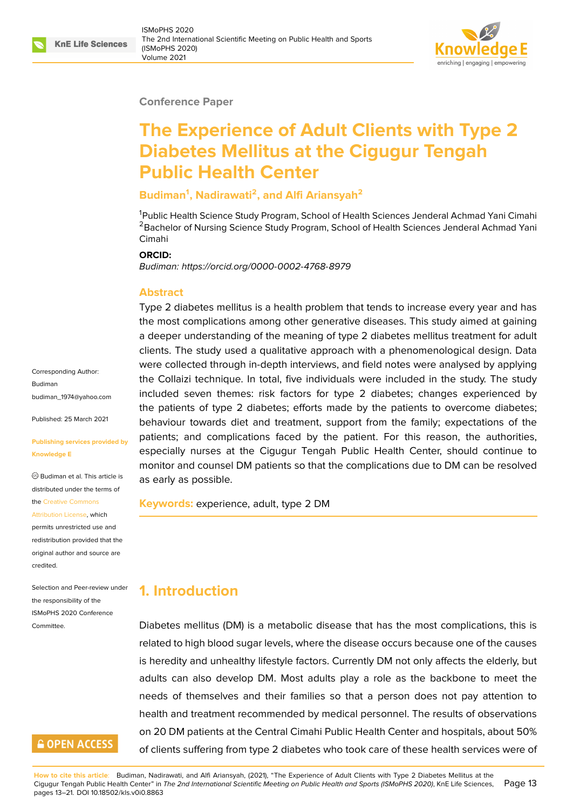#### **Conference Paper**

# **The Experience of Adult Clients with Type 2 Diabetes Mellitus at the Cigugur Tengah Public Health Center**

#### **Budiman<sup>1</sup> , Nadirawati<sup>2</sup> , and Alfi Ariansyah<sup>2</sup>**

<sup>1</sup>Public Health Science Study Program, School of Health Sciences Jenderal Achmad Yani Cimahi <sup>2</sup> Bachelor of Nursing Science Study Program, School of Health Sciences Jenderal Achmad Yani Cimahi

#### **ORCID:**

*Budiman: https://orcid.org/0000-0002-4768-8979*

#### **Abstract**

Type 2 diabetes mellitus is a health problem that tends to increase every year and has the most [complications among other generativ](https://orcid.org/0000-0002-4768-8979)e diseases. This study aimed at gaining a deeper understanding of the meaning of type 2 diabetes mellitus treatment for adult clients. The study used a qualitative approach with a phenomenological design. Data were collected through in-depth interviews, and field notes were analysed by applying the Collaizi technique. In total, five individuals were included in the study. The study included seven themes: risk factors for type 2 diabetes; changes experienced by the patients of type 2 diabetes; efforts made by the patients to overcome diabetes; behaviour towards diet and treatment, support from the family; expectations of the patients; and complications faced by the patient. For this reason, the authorities, especially nurses at the Cigugur Tengah Public Health Center, should continue to monitor and counsel DM patients so that the complications due to DM can be resolved as early as possible.

**Keywords:** experience, adult, type 2 DM

## **1. Introduction**

Diabetes mellitus (DM) is a metabolic disease that has the most complications, this is related to high blood sugar levels, where the disease occurs because one of the causes is heredity and unhealthy lifestyle factors. Currently DM not only affects the elderly, but adults can also develop DM. Most adults play a role as the backbone to meet the needs of themselves and their families so that a person does not pay attention to health and treatment recommended by medical personnel. The results of observations on 20 DM patients at the Central Cimahi Public Health Center and hospitals, about 50% of clients suffering from type 2 diabetes who took care of these health services were of

Corresponding Author: Budiman budiman\_1974@yahoo.com

Published: 25 March 2021

#### **[Publishing services provide](mailto:budiman_1974@yahoo.com)d by Knowledge E**

Budiman et al. This article is distributed under the terms of the Creative Commons

Attribution License, which

permits unrestricted use and redistribution provided that the orig[inal author and sou](https://creativecommons.org/licenses/by/4.0/)rce are [credited.](https://creativecommons.org/licenses/by/4.0/)

Selection and Peer-review under the responsibility of the ISMoPHS 2020 Conference **Committee** 

# **GOPEN ACCESS**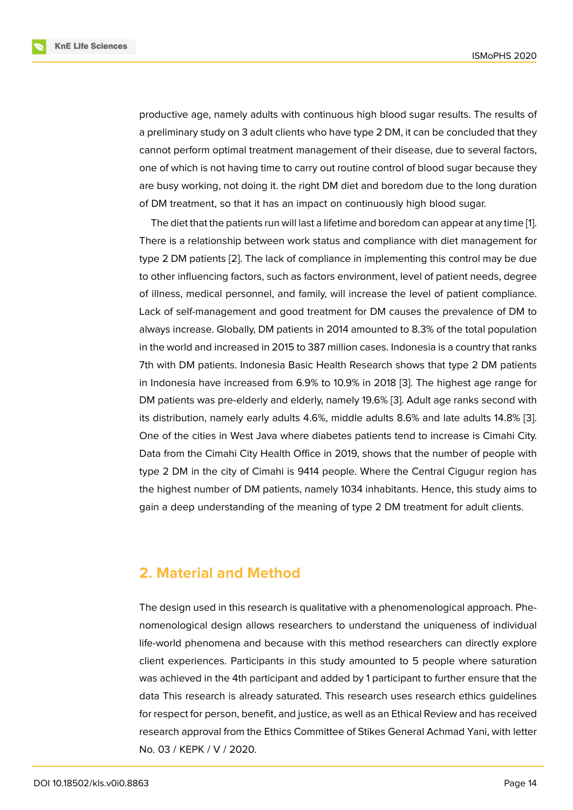productive age, namely adults with continuous high blood sugar results. The results of a preliminary study on 3 adult clients who have type 2 DM, it can be concluded that they cannot perform optimal treatment management of their disease, due to several factors, one of which is not having time to carry out routine control of blood sugar because they are busy working, not doing it. the right DM diet and boredom due to the long duration of DM treatment, so that it has an impact on continuously high blood sugar.

The diet that the patients run will last a lifetime and boredom can appear at any time [1]. There is a relationship between work status and compliance with diet management for type 2 DM patients [2]. The lack of compliance in implementing this control may be due to other influencing factors, such as factors environment, level of patient needs, degr[ee](#page-7-0) of illness, medical personnel, and family, will increase the level of patient compliance. Lack of self-manag[em](#page-7-1)ent and good treatment for DM causes the prevalence of DM to always increase. Globally, DM patients in 2014 amounted to 8.3% of the total population in the world and increased in 2015 to 387 million cases. Indonesia is a country that ranks 7th with DM patients. Indonesia Basic Health Research shows that type 2 DM patients in Indonesia have increased from 6.9% to 10.9% in 2018 [3]. The highest age range for DM patients was pre-elderly and elderly, namely 19.6% [3]. Adult age ranks second with its distribution, namely early adults 4.6%, middle adults 8.6% and late adults 14.8% [3]. One of the cities in West Java where diabetes patients t[en](#page-7-2)d to increase is Cimahi City. Data from the Cimahi City Health Office in 2019, shows [th](#page-7-2)at the number of people with type 2 DM in the city of Cimahi is 9414 people. Where the Central Cigugur region [ha](#page-7-2)s the highest number of DM patients, namely 1034 inhabitants. Hence, this study aims to gain a deep understanding of the meaning of type 2 DM treatment for adult clients.

# **2. Material and Method**

The design used in this research is qualitative with a phenomenological approach. Phenomenological design allows researchers to understand the uniqueness of individual life-world phenomena and because with this method researchers can directly explore client experiences. Participants in this study amounted to 5 people where saturation was achieved in the 4th participant and added by 1 participant to further ensure that the data This research is already saturated. This research uses research ethics guidelines for respect for person, benefit, and justice, as well as an Ethical Review and has received research approval from the Ethics Committee of Stikes General Achmad Yani, with letter No. 03 / KEPK / V / 2020.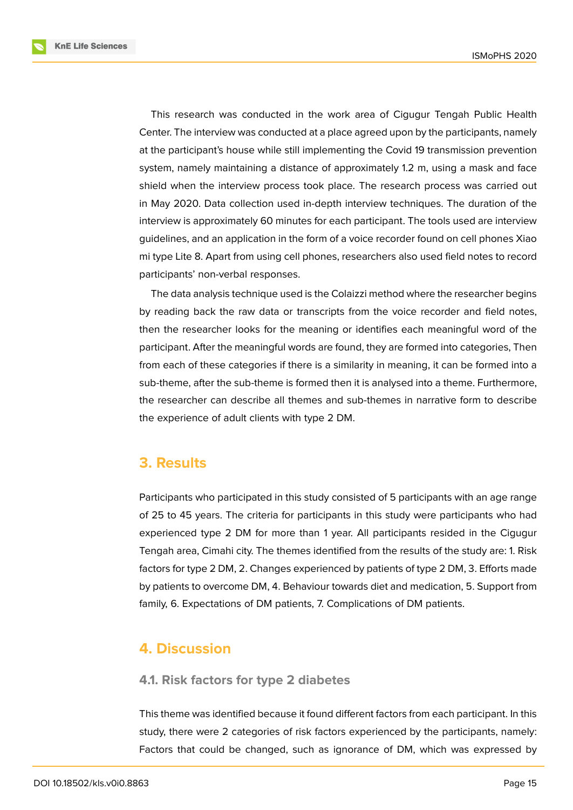**KnE Life Sciences** 



This research was conducted in the work area of Cigugur Tengah Public Health Center. The interview was conducted at a place agreed upon by the participants, namely at the participant's house while still implementing the Covid 19 transmission prevention system, namely maintaining a distance of approximately 1.2 m, using a mask and face shield when the interview process took place. The research process was carried out in May 2020. Data collection used in-depth interview techniques. The duration of the interview is approximately 60 minutes for each participant. The tools used are interview guidelines, and an application in the form of a voice recorder found on cell phones Xiao mi type Lite 8. Apart from using cell phones, researchers also used field notes to record participants' non-verbal responses.

The data analysis technique used is the Colaizzi method where the researcher begins by reading back the raw data or transcripts from the voice recorder and field notes, then the researcher looks for the meaning or identifies each meaningful word of the participant. After the meaningful words are found, they are formed into categories, Then from each of these categories if there is a similarity in meaning, it can be formed into a sub-theme, after the sub-theme is formed then it is analysed into a theme. Furthermore, the researcher can describe all themes and sub-themes in narrative form to describe the experience of adult clients with type 2 DM.

# **3. Results**

Participants who participated in this study consisted of 5 participants with an age range of 25 to 45 years. The criteria for participants in this study were participants who had experienced type 2 DM for more than 1 year. All participants resided in the Cigugur Tengah area, Cimahi city. The themes identified from the results of the study are: 1. Risk factors for type 2 DM, 2. Changes experienced by patients of type 2 DM, 3. Efforts made by patients to overcome DM, 4. Behaviour towards diet and medication, 5. Support from family, 6. Expectations of DM patients, 7. Complications of DM patients.

# **4. Discussion**

#### **4.1. Risk factors for type 2 diabetes**

This theme was identified because it found different factors from each participant. In this study, there were 2 categories of risk factors experienced by the participants, namely: Factors that could be changed, such as ignorance of DM, which was expressed by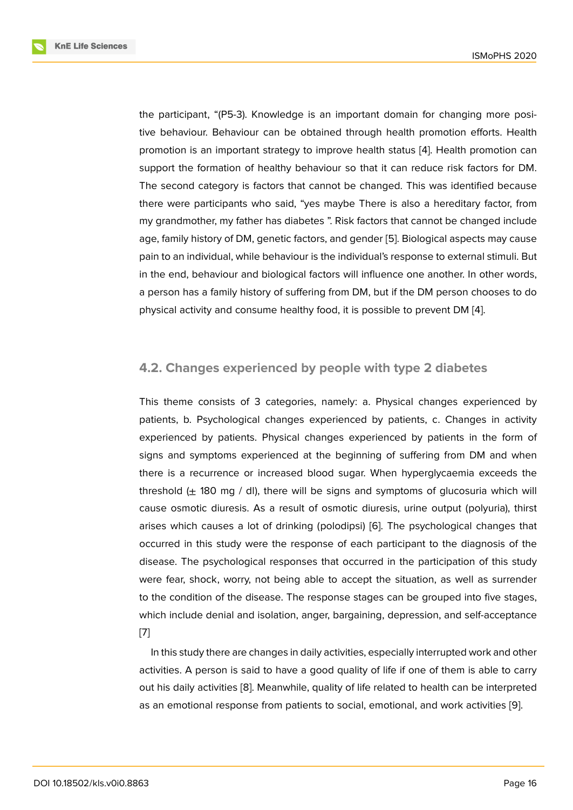the participant, "(P5-3). Knowledge is an important domain for changing more positive behaviour. Behaviour can be obtained through health promotion efforts. Health promotion is an important strategy to improve health status [4]. Health promotion can support the formation of healthy behaviour so that it can reduce risk factors for DM. The second category is factors that cannot be changed. This was identified because there were participants who said, "yes maybe There is also [a](#page-7-3) hereditary factor, from my grandmother, my father has diabetes ". Risk factors that cannot be changed include age, family history of DM, genetic factors, and gender [5]. Biological aspects may cause pain to an individual, while behaviour is the individual's response to external stimuli. But in the end, behaviour and biological factors will influence one another. In other words, a person has a family history of suffering from DM, bu[t if](#page-7-4) the DM person chooses to do physical activity and consume healthy food, it is possible to prevent DM [4].

### **4.2. Changes experienced by people with type 2 diabet[e](#page-7-3)s**

This theme consists of 3 categories, namely: a. Physical changes experienced by patients, b. Psychological changes experienced by patients, c. Changes in activity experienced by patients. Physical changes experienced by patients in the form of signs and symptoms experienced at the beginning of suffering from DM and when there is a recurrence or increased blood sugar. When hyperglycaemia exceeds the threshold  $(\pm 180 \text{ mg } / \text{ dl})$ , there will be signs and symptoms of glucosuria which will cause osmotic diuresis. As a result of osmotic diuresis, urine output (polyuria), thirst arises which causes a lot of drinking (polodipsi) [6]. The psychological changes that occurred in this study were the response of each participant to the diagnosis of the disease. The psychological responses that occurred in the participation of this study were fear, shock, worry, not being able to accept [t](#page-7-5)he situation, as well as surrender to the condition of the disease. The response stages can be grouped into five stages, which include denial and isolation, anger, bargaining, depression, and self-acceptance [7]

In this study there are changes in daily activities, especially interrupted work and other activities. A person is said to have a good quality of life if one of them is able to carry [ou](#page-7-6)t his daily activities [8]. Meanwhile, quality of life related to health can be interpreted as an emotional response from patients to social, emotional, and work activities [9].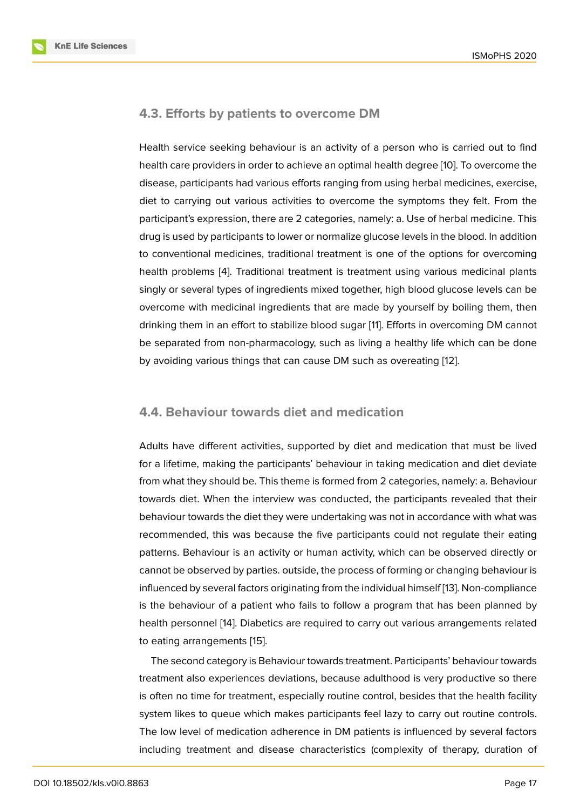### **4.3. Efforts by patients to overcome DM**

Health service seeking behaviour is an activity of a person who is carried out to find health care providers in order to achieve an optimal health degree [10]. To overcome the disease, participants had various efforts ranging from using herbal medicines, exercise, diet to carrying out various activities to overcome the symptoms they felt. From the participant's expression, there are 2 categories, namely: a. Use of [her](#page-7-7)bal medicine. This drug is used by participants to lower or normalize glucose levels in the blood. In addition to conventional medicines, traditional treatment is one of the options for overcoming health problems [4]. Traditional treatment is treatment using various medicinal plants singly or several types of ingredients mixed together, high blood glucose levels can be overcome with medicinal ingredients that are made by yourself by boiling them, then drinking them in [an](#page-7-3) effort to stabilize blood sugar [11]. Efforts in overcoming DM cannot be separated from non-pharmacology, such as living a healthy life which can be done by avoiding various things that can cause DM such as overeating [12].

#### **4.4. Behaviour towards diet and medication**

Adults have different activities, supported by diet and medication that must be lived for a lifetime, making the participants' behaviour in taking medication and diet deviate from what they should be. This theme is formed from 2 categories, namely: a. Behaviour towards diet. When the interview was conducted, the participants revealed that their behaviour towards the diet they were undertaking was not in accordance with what was recommended, this was because the five participants could not regulate their eating patterns. Behaviour is an activity or human activity, which can be observed directly or cannot be observed by parties. outside, the process of forming or changing behaviour is influenced by several factors originating from the individual himself [13]. Non-compliance is the behaviour of a patient who fails to follow a program that has been planned by health personnel [14]. Diabetics are required to carry out various arrangements related to eating arrangements [15].

The second category is Behaviour towards treatment. Participants' behaviour towards treatment also ex[per](#page-8-0)iences deviations, because adulthood is very productive so there is often no time for treat[me](#page-8-1)nt, especially routine control, besides that the health facility system likes to queue which makes participants feel lazy to carry out routine controls. The low level of medication adherence in DM patients is influenced by several factors including treatment and disease characteristics (complexity of therapy, duration of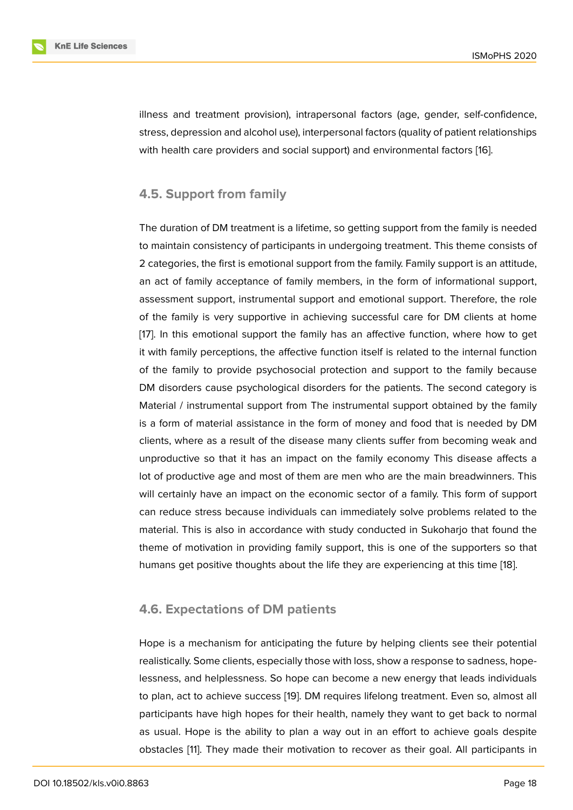illness and treatment provision), intrapersonal factors (age, gender, self-confidence, stress, depression and alcohol use), interpersonal factors (quality of patient relationships with health care providers and social support) and environmental factors [16].

## **4.5. Support from family**

The duration of DM treatment is a lifetime, so getting support from the family is needed to maintain consistency of participants in undergoing treatment. This theme consists of 2 categories, the first is emotional support from the family. Family support is an attitude, an act of family acceptance of family members, in the form of informational support, assessment support, instrumental support and emotional support. Therefore, the role of the family is very supportive in achieving successful care for DM clients at home [17]. In this emotional support the family has an affective function, where how to get it with family perceptions, the affective function itself is related to the internal function of the family to provide psychosocial protection and support to the family because [DM](#page-8-2) disorders cause psychological disorders for the patients. The second category is Material / instrumental support from The instrumental support obtained by the family is a form of material assistance in the form of money and food that is needed by DM clients, where as a result of the disease many clients suffer from becoming weak and unproductive so that it has an impact on the family economy This disease affects a lot of productive age and most of them are men who are the main breadwinners. This will certainly have an impact on the economic sector of a family. This form of support can reduce stress because individuals can immediately solve problems related to the material. This is also in accordance with study conducted in Sukoharjo that found the theme of motivation in providing family support, this is one of the supporters so that humans get positive thoughts about the life they are experiencing at this time [18].

#### **4.6. Expectations of DM patients**

Hope is a mechanism for anticipating the future by helping clients see their potential realistically. Some clients, especially those with loss, show a response to sadness, hopelessness, and helplessness. So hope can become a new energy that leads individuals to plan, act to achieve success [19]. DM requires lifelong treatment. Even so, almost all participants have high hopes for their health, namely they want to get back to normal as usual. Hope is the ability to plan a way out in an effort to achieve goals despite obstacles [11]. They made their [mo](#page-8-3)tivation to recover as their goal. All participants in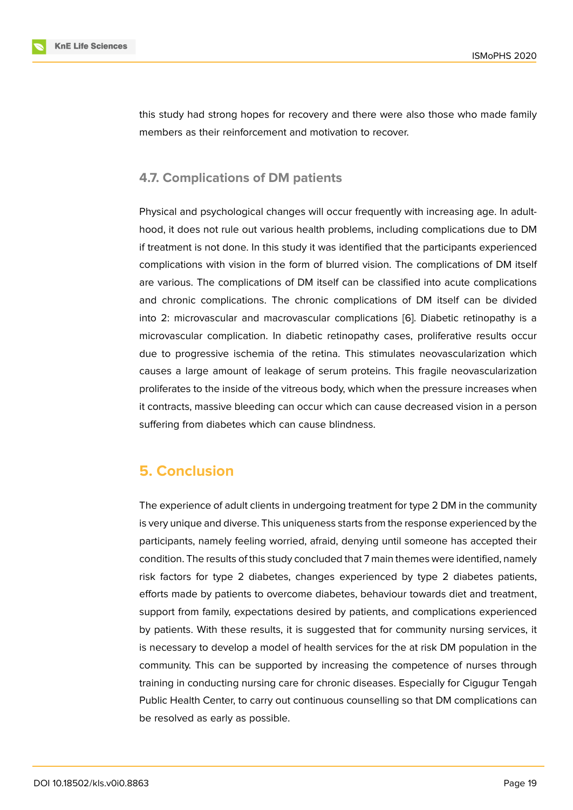this study had strong hopes for recovery and there were also those who made family members as their reinforcement and motivation to recover.

## **4.7. Complications of DM patients**

Physical and psychological changes will occur frequently with increasing age. In adulthood, it does not rule out various health problems, including complications due to DM if treatment is not done. In this study it was identified that the participants experienced complications with vision in the form of blurred vision. The complications of DM itself are various. The complications of DM itself can be classified into acute complications and chronic complications. The chronic complications of DM itself can be divided into 2: microvascular and macrovascular complications [6]. Diabetic retinopathy is a microvascular complication. In diabetic retinopathy cases, proliferative results occur due to progressive ischemia of the retina. This stimulates neovascularization which causes a large amount of leakage of serum proteins. T[his](#page-7-5) fragile neovascularization proliferates to the inside of the vitreous body, which when the pressure increases when it contracts, massive bleeding can occur which can cause decreased vision in a person suffering from diabetes which can cause blindness.

# **5. Conclusion**

The experience of adult clients in undergoing treatment for type 2 DM in the community is very unique and diverse. This uniqueness starts from the response experienced by the participants, namely feeling worried, afraid, denying until someone has accepted their condition. The results of this study concluded that 7 main themes were identified, namely risk factors for type 2 diabetes, changes experienced by type 2 diabetes patients, efforts made by patients to overcome diabetes, behaviour towards diet and treatment, support from family, expectations desired by patients, and complications experienced by patients. With these results, it is suggested that for community nursing services, it is necessary to develop a model of health services for the at risk DM population in the community. This can be supported by increasing the competence of nurses through training in conducting nursing care for chronic diseases. Especially for Cigugur Tengah Public Health Center, to carry out continuous counselling so that DM complications can be resolved as early as possible.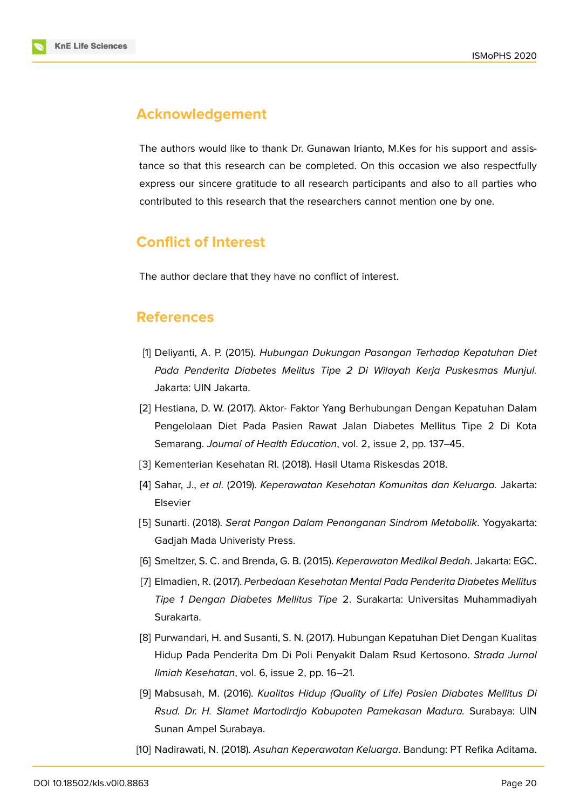

# **Acknowledgement**

The authors would like to thank Dr. Gunawan Irianto, M.Kes for his support and assistance so that this research can be completed. On this occasion we also respectfully express our sincere gratitude to all research participants and also to all parties who contributed to this research that the researchers cannot mention one by one.

# **Conflict of Interest**

The author declare that they have no conflict of interest.

# **References**

- <span id="page-7-0"></span>[1] Deliyanti, A. P. (2015). *Hubungan Dukungan Pasangan Terhadap Kepatuhan Diet Pada Penderita Diabetes Melitus Tipe 2 Di Wilayah Kerja Puskesmas Munjul.* Jakarta: UIN Jakarta.
- <span id="page-7-1"></span>[2] Hestiana, D. W. (2017). Aktor- Faktor Yang Berhubungan Dengan Kepatuhan Dalam Pengelolaan Diet Pada Pasien Rawat Jalan Diabetes Mellitus Tipe 2 Di Kota Semarang. *Journal of Health Education*, vol. 2, issue 2, pp. 137–45.
- <span id="page-7-2"></span>[3] Kementerian Kesehatan RI. (2018). Hasil Utama Riskesdas 2018.
- <span id="page-7-3"></span>[4] Sahar, J., *et al*. (2019). *Keperawatan Kesehatan Komunitas dan Keluarga.* Jakarta: Elsevier
- <span id="page-7-4"></span>[5] Sunarti. (2018). *Serat Pangan Dalam Penanganan Sindrom Metabolik*. Yogyakarta: Gadjah Mada Univeristy Press.
- <span id="page-7-5"></span>[6] Smeltzer, S. C. and Brenda, G. B. (2015). *Keperawatan Medikal Bedah*. Jakarta: EGC.
- <span id="page-7-6"></span>[7] Elmadien, R. (2017). *Perbedaan Kesehatan Mental Pada Penderita Diabetes Mellitus Tipe 1 Dengan Diabetes Mellitus Tipe* 2. Surakarta: Universitas Muhammadiyah Surakarta.
- [8] Purwandari, H. and Susanti, S. N. (2017). Hubungan Kepatuhan Diet Dengan Kualitas Hidup Pada Penderita Dm Di Poli Penyakit Dalam Rsud Kertosono. *Strada Jurnal Ilmiah Kesehatan*, vol. 6, issue 2, pp. 16–21.
- [9] Mabsusah, M. (2016). *Kualitas Hidup (Quality of Life) Pasien Diabates Mellitus Di Rsud. Dr. H. Slamet Martodirdjo Kabupaten Pamekasan Madura.* Surabaya: UIN Sunan Ampel Surabaya.
- <span id="page-7-7"></span>[10] Nadirawati, N. (2018). *Asuhan Keperawatan Keluarga*. Bandung: PT Refika Aditama.